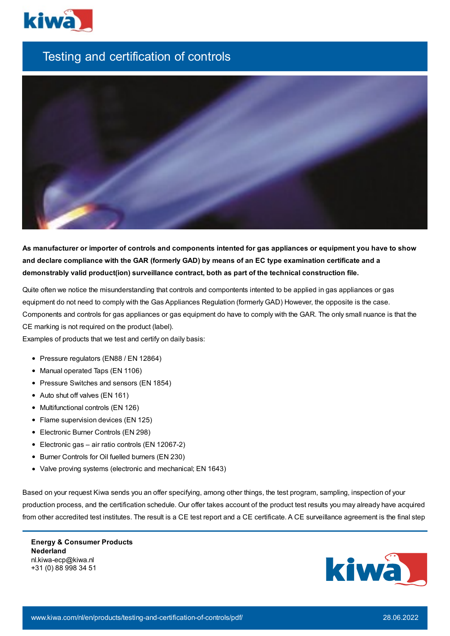

## Testing and certification of controls



As manufacturer or importer of controls and components intented for gas appliances or equipment you have to show and declare compliance with the GAR (formerly GAD) by means of an EC type examination certificate and a **demonstrably valid product(ion) surveillance contract, both as part of the technical construction file.**

Quite often we notice the misunderstanding that controls and compontents intented to be applied in gas appliances or gas equipment do not need to comply with the Gas Appliances Regulation (formerly GAD) However, the opposite is the case. Components and controls for gas appliances or gas equipment do have to comply with the GAR. The only small nuance is that the CE marking is not required on the product (label).

Examples of products that we test and certify on daily basis:

- Pressure regulators (EN88 / EN 12864)
- Manual operated Taps (EN 1106)
- Pressure Switches and sensors (EN 1854)
- Auto shut off valves (EN 161)
- Multifunctional controls (EN 126)
- Flame supervision devices (EN 125)
- Electronic Burner Controls (EN 298)
- Electronic gas air ratio controls (EN 12067-2)
- Burner Controls for Oil fuelled burners (EN 230)
- Valve proving systems (electronic and mechanical; EN 1643)

Based on your request Kiwa sends you an offer specifying, among other things, the test program, sampling, inspection of your production process, and the certification schedule. Our offer takes account of the product test results you may already have acquired from other accredited test institutes. The result is a CE test report and a CE certificate. A CE surveillance agreement is the final step

**Energy & Consumer Products Nederland** nl.kiwa-ecp@kiwa.nl +31 (0) 88 998 34 51